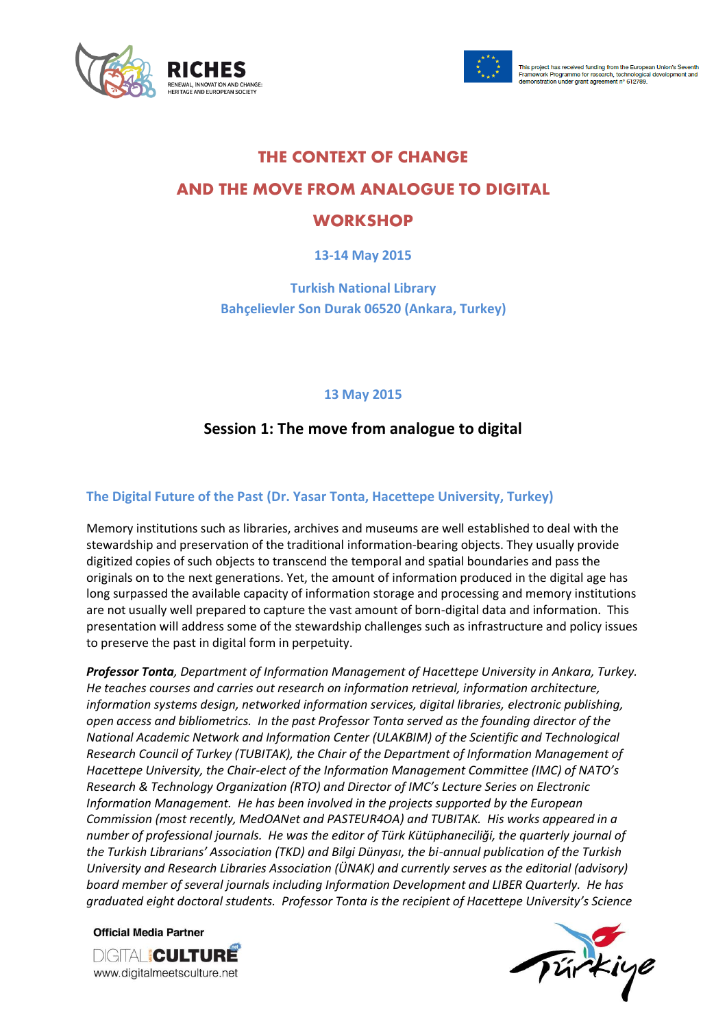



# **THE CONTEXT OF CHANGE**

# **AND THE MOVE FROM ANALOGUE TO DIGITAL**

# **WORKSHOP**

**13-14 May 2015**

**Turkish National Library Bahçelievler Son Durak 06520 (Ankara, Turkey)**

#### **13 May 2015**

## **Session 1: The move from analogue to digital**

#### **The Digital Future of the Past (Dr. Yasar Tonta, Hacettepe University, Turkey)**

Memory institutions such as libraries, archives and museums are well established to deal with the stewardship and preservation of the traditional information-bearing objects. They usually provide digitized copies of such objects to transcend the temporal and spatial boundaries and pass the originals on to the next generations. Yet, the amount of information produced in the digital age has long surpassed the available capacity of information storage and processing and memory institutions are not usually well prepared to capture the vast amount of born-digital data and information. This presentation will address some of the stewardship challenges such as infrastructure and policy issues to preserve the past in digital form in perpetuity.

*Professor Tonta, Department of Information Management of Hacettepe University in Ankara, Turkey. He teaches courses and carries out research on information retrieval, information architecture, information systems design, networked information services, digital libraries, electronic publishing, open access and bibliometrics. In the past Professor Tonta served as the founding director of the National Academic Network and Information Center (ULAKBIM) of the Scientific and Technological Research Council of Turkey (TUBITAK), the Chair of the Department of Information Management of Hacettepe University, the Chair-elect of the Information Management Committee (IMC) of NATO's Research & Technology Organization (RTO) and Director of IMC's Lecture Series on Electronic Information Management. He has been involved in the projects supported by the European Commission (most recently, MedOANet and PASTEUR4OA) and TUBITAK. His works appeared in a number of professional journals. He was the editor of Türk Kütüphaneciliği, the quarterly journal of the Turkish Librarians' Association (TKD) and Bilgi Dünyası, the bi-annual publication of the Turkish University and Research Libraries Association (ÜNAK) and currently serves as the editorial (advisory) board member of several journals including Information Development and LIBER Quarterly. He has graduated eight doctoral students. Professor Tonta is the recipient of Hacettepe University's Science* 

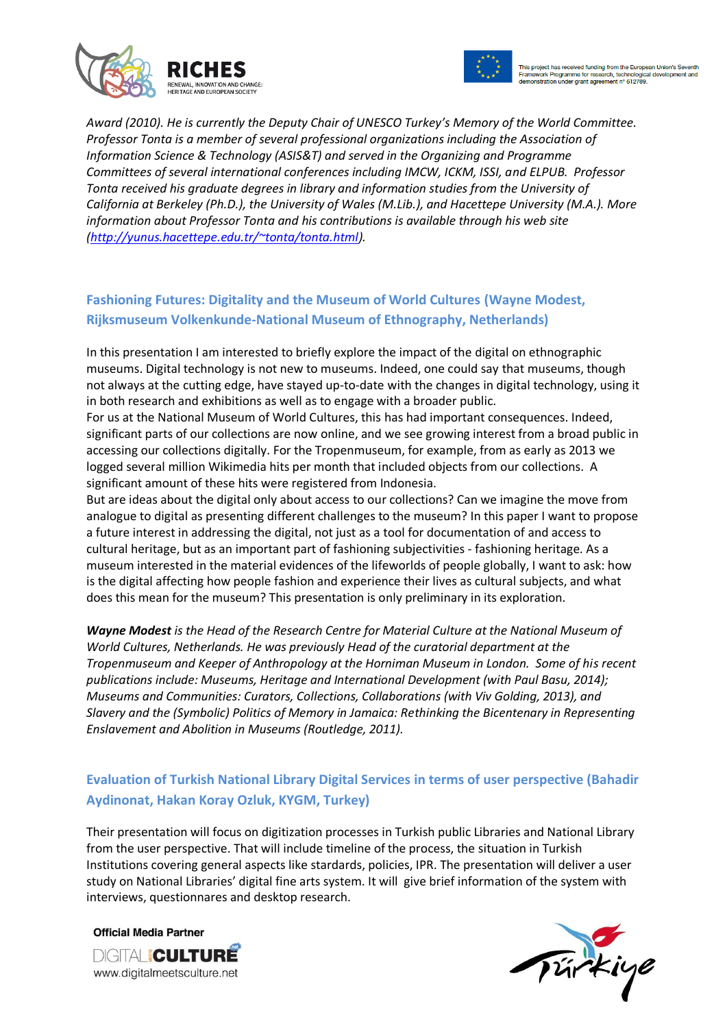



*Award (2010). He is currently the Deputy Chair of UNESCO Turkey's Memory of the World Committee. Professor Tonta is a member of several professional organizations including the Association of Information Science & Technology (ASIS&T) and served in the Organizing and Programme Committees of several international conferences including IMCW, ICKM, ISSI, and ELPUB. Professor Tonta received his graduate degrees in library and information studies from the University of California at Berkeley (Ph.D.), the University of Wales (M.Lib.), and Hacettepe University (M.A.). More information about Professor Tonta and his contributions is available through his web site [\(http://yunus.hacettepe.edu.tr/~tonta/tonta.html\)](http://yunus.hacettepe.edu.tr/~tonta/tonta.html).* 

## **Fashioning Futures: Digitality and the Museum of World Cultures (Wayne Modest, Rijksmuseum Volkenkunde-National Museum of Ethnography, Netherlands)**

In this presentation I am interested to briefly explore the impact of the digital on ethnographic museums. Digital technology is not new to museums. Indeed, one could say that museums, though not always at the cutting edge, have stayed up-to-date with the changes in digital technology, using it in both research and exhibitions as well as to engage with a broader public.

For us at the National Museum of World Cultures, this has had important consequences. Indeed, significant parts of our collections are now online, and we see growing interest from a broad public in accessing our collections digitally. For the Tropenmuseum, for example, from as early as 2013 we logged several million Wikimedia hits per month that included objects from our collections. A significant amount of these hits were registered from Indonesia.

But are ideas about the digital only about access to our collections? Can we imagine the move from analogue to digital as presenting different challenges to the museum? In this paper I want to propose a future interest in addressing the digital, not just as a tool for documentation of and access to cultural heritage, but as an important part of fashioning subjectivities - fashioning heritage. As a museum interested in the material evidences of the lifeworlds of people globally, I want to ask: how is the digital affecting how people fashion and experience their lives as cultural subjects, and what does this mean for the museum? This presentation is only preliminary in its exploration.

*Wayne Modest is the Head of the Research Centre for Material Culture at the National Museum of World Cultures, Netherlands. He was previously Head of the curatorial department at the Tropenmuseum and Keeper of Anthropology at the Horniman Museum in London. Some of his recent publications include: Museums, Heritage and International Development (with Paul Basu, 2014); Museums and Communities: Curators, Collections, Collaborations (with Viv Golding, 2013), and Slavery and the (Symbolic) Politics of Memory in Jamaica: Rethinking the Bicentenary in Representing Enslavement and Abolition in Museums (Routledge, 2011).*

## **Evaluation of Turkish National Library Digital Services in terms of user perspective (Bahadir Aydinonat, Hakan Koray Ozluk, KYGM, Turkey)**

Their presentation will focus on digitization processes in Turkish public Libraries and National Library from the user perspective. That will include timeline of the process, the situation in Turkish Institutions covering general aspects like stardards, policies, IPR. The presentation will deliver a user study on National Libraries' digital fine arts system. It will give brief information of the system with interviews, questionnares and desktop research.

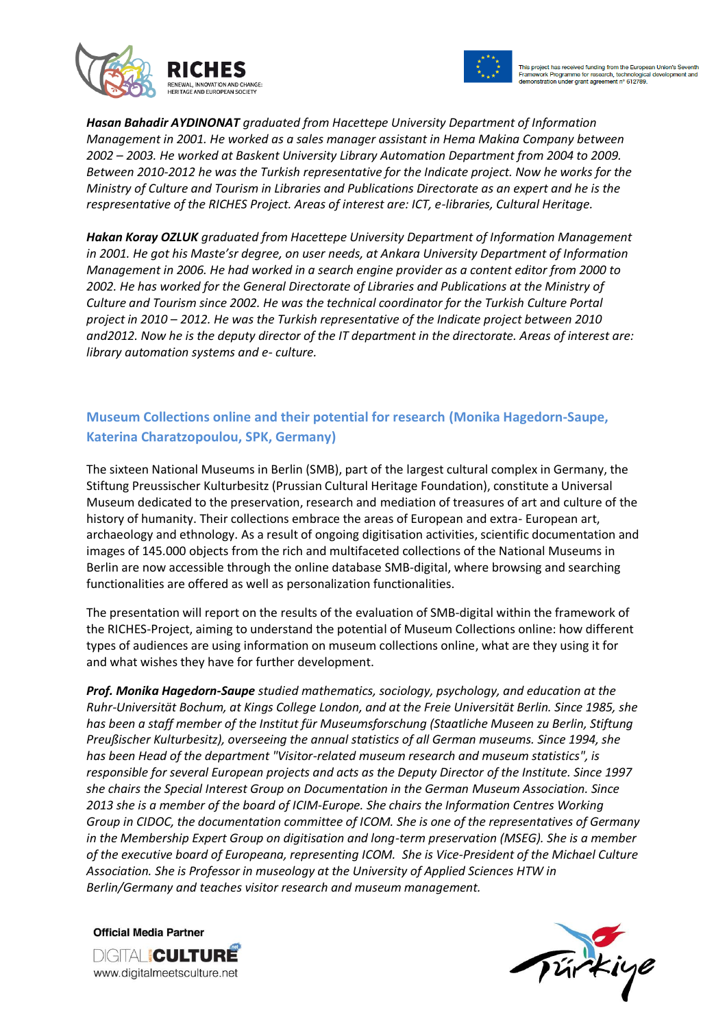



*Hasan Bahadir AYDINONAT graduated from Hacettepe University Department of Information Management in 2001. He worked as a sales manager assistant in Hema Makina Company between 2002 – 2003. He worked at Baskent University Library Automation Department from 2004 to 2009. Between 2010-2012 he was the Turkish representative for the Indicate project. Now he works for the Ministry of Culture and Tourism in Libraries and Publications Directorate as an expert and he is the respresentative of the RICHES Project. Areas of interest are: ICT, e-libraries, Cultural Heritage.*

*Hakan Koray OZLUK graduated from Hacettepe University Department of Information Management in 2001. He got his Maste'sr degree, on user needs, at Ankara University Department of Information Management in 2006. He had worked in a search engine provider as a content editor from 2000 to 2002. He has worked for the General Directorate of Libraries and Publications at the Ministry of Culture and Tourism since 2002. He was the technical coordinator for the Turkish Culture Portal project in 2010 – 2012. He was the Turkish representative of the Indicate project between 2010 and2012. Now he is the deputy director of the IT department in the directorate. Areas of interest are: library automation systems and e- culture.*

## **Museum Collections online and their potential for research (Monika Hagedorn-Saupe, Katerina Charatzopoulou, SPK, Germany)**

The sixteen National Museums in Berlin (SMB), part of the largest cultural complex in Germany, the Stiftung Preussischer Kulturbesitz (Prussian Cultural Heritage Foundation), constitute a Universal Museum dedicated to the preservation, research and mediation of treasures of art and culture of the history of humanity. Their collections embrace the areas of European and extra- European art, archaeology and ethnology. As a result of ongoing digitisation activities, scientific documentation and images of 145.000 objects from the rich and multifaceted collections of the National Museums in Berlin are now accessible through the online database SMB-digital, where browsing and searching functionalities are offered as well as personalization functionalities.

The presentation will report on the results of the evaluation of SMB-digital within the framework of the RICHES-Project, aiming to understand the potential of Museum Collections online: how different types of audiences are using information on museum collections online, what are they using it for and what wishes they have for further development.

*Prof. Monika Hagedorn-Saupe studied mathematics, sociology, psychology, and education at the Ruhr-Universität Bochum, at Kings College London, and at the Freie Universität Berlin. Since 1985, she has been a staff member of the Institut für Museumsforschung (Staatliche Museen zu Berlin, Stiftung Preußischer Kulturbesitz), overseeing the annual statistics of all German museums. Since 1994, she has been Head of the department "Visitor-related museum research and museum statistics", is responsible for several European projects and acts as the Deputy Director of the Institute. Since 1997 she chairs the Special Interest Group on Documentation in the German Museum Association. Since 2013 she is a member of the board of ICIM-Europe. She chairs the Information Centres Working Group in CIDOC, the documentation committee of ICOM. She is one of the representatives of Germany*  in the Membership Expert Group on digitisation and long-term preservation (MSEG). She is a member *of the executive board of Europeana, representing ICOM. She is Vice-President of the Michael Culture Association. She is Professor in museology at the University of Applied Sciences HTW in Berlin/Germany and teaches visitor research and museum management.*

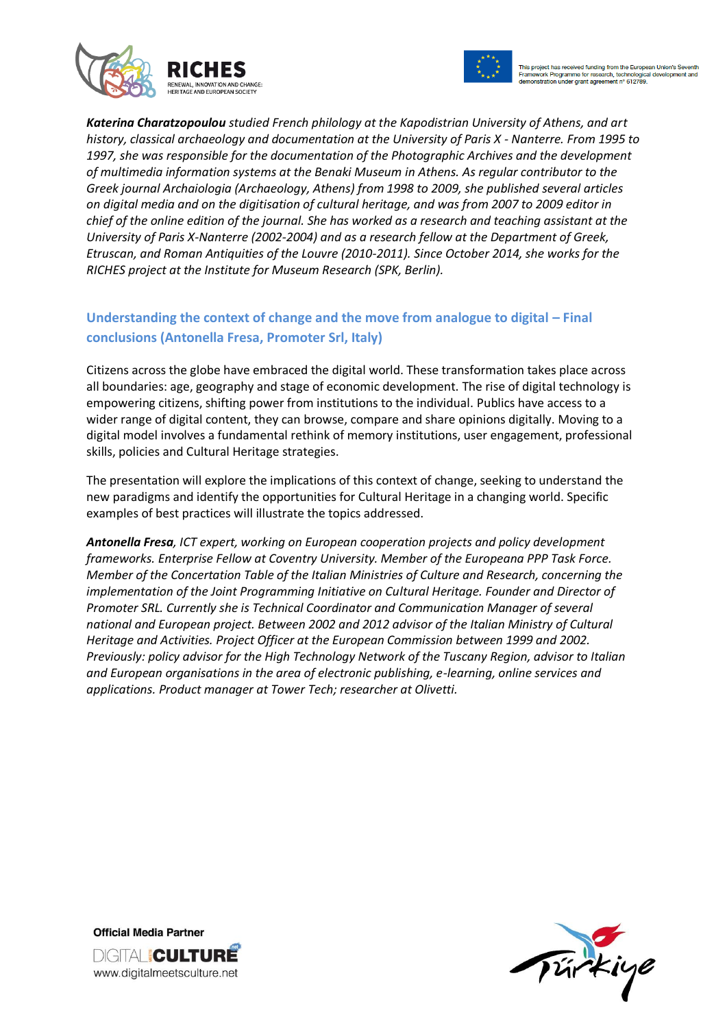



*Katerina Charatzopoulou studied French philology at the Kapodistrian University of Athens, and art history, classical archaeology and documentation at the University of Paris X - Nanterre. From 1995 to 1997, she was responsible for the documentation of the Photographic Archives and the development of multimedia information systems at the Benaki Museum in Athens. As regular contributor to the Greek journal Archaiologia (Archaeology, Athens) from 1998 to 2009, she published several articles on digital media and on the digitisation of cultural heritage, and was from 2007 to 2009 editor in chief of the online edition of the journal. She has worked as a research and teaching assistant at the University of Paris X-Nanterre (2002-2004) and as a research fellow at the Department of Greek, Etruscan, and Roman Antiquities of the Louvre (2010-2011). Since October 2014, she works for the RICHES project at the Institute for Museum Research (SPK, Berlin).*

## **Understanding the context of change and the move from analogue to digital – Final conclusions (Antonella Fresa, Promoter Srl, Italy)**

Citizens across the globe have embraced the digital world. These transformation takes place across all boundaries: age, geography and stage of economic development. The rise of digital technology is empowering citizens, shifting power from institutions to the individual. Publics have access to a wider range of digital content, they can browse, compare and share opinions digitally. Moving to a digital model involves a fundamental rethink of memory institutions, user engagement, professional skills, policies and Cultural Heritage strategies.

The presentation will explore the implications of this context of change, seeking to understand the new paradigms and identify the opportunities for Cultural Heritage in a changing world. Specific examples of best practices will illustrate the topics addressed.

*Antonella Fresa, ICT expert, working on European cooperation projects and policy development frameworks. Enterprise Fellow at Coventry University. Member of the Europeana PPP Task Force. Member of the Concertation Table of the Italian Ministries of Culture and Research, concerning the implementation of the Joint Programming Initiative on Cultural Heritage. Founder and Director of Promoter SRL. Currently she is Technical Coordinator and Communication Manager of several national and European project. Between 2002 and 2012 advisor of the Italian Ministry of Cultural Heritage and Activities. Project Officer at the European Commission between 1999 and 2002. Previously: policy advisor for the High Technology Network of the Tuscany Region, advisor to Italian and European organisations in the area of electronic publishing, e-learning, online services and applications. Product manager at Tower Tech; researcher at Olivetti.*



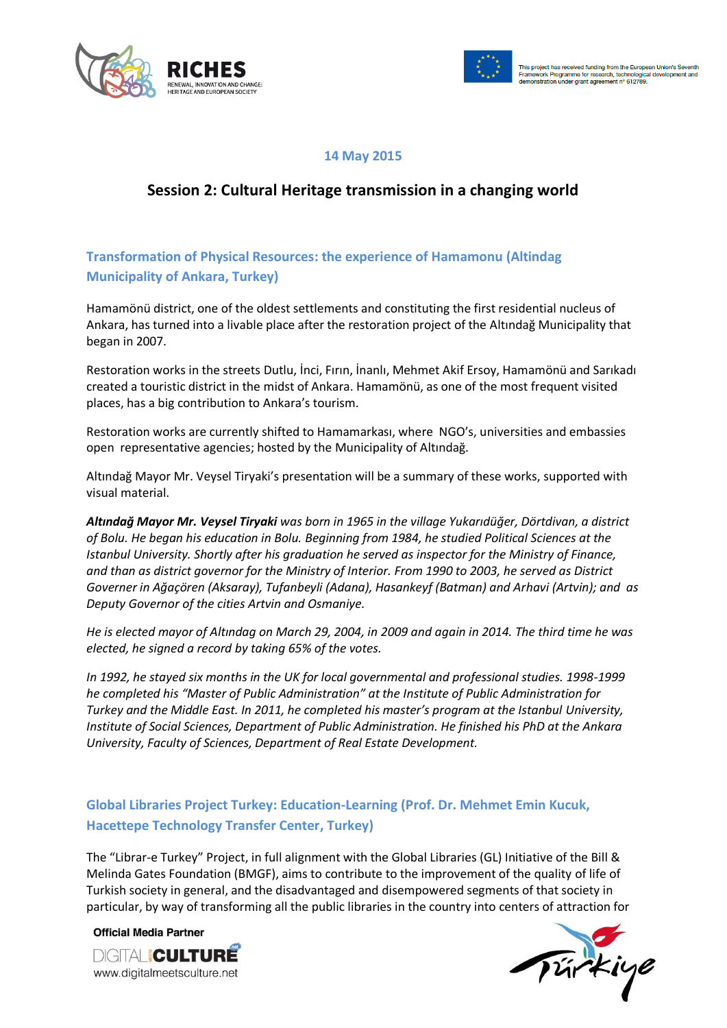



#### **14 May 2015**

# **Session 2: Cultural Heritage transmission in a changing world**

#### **Transformation of Physical Resources: the experience of Hamamonu (Altindag Municipality of Ankara, Turkey)**

Hamamönü district, one of the oldest settlements and constituting the first residential nucleus of Ankara, has turned into a livable place after the restoration project of the Altındağ Municipality that began in 2007.

Restoration works in the streets Dutlu, İnci, Fırın, İnanlı, Mehmet Akif Ersoy, Hamamönü and Sarıkadı created a touristic district in the midst of Ankara. Hamamönü, as one of the most frequent visited places, has a big contribution to Ankara's tourism.

Restoration works are currently shifted to Hamamarkası, where NGO's, universities and embassies open representative agencies; hosted by the Municipality of Altındağ.

Altındağ Mayor Mr. Veysel Tiryaki's presentation will be a summary of these works, supported with visual material.

*Altındağ Mayor Mr. Veysel Tiryaki was born in 1965 in the village Yukarıdüğer, Dörtdivan, a district of Bolu. He began his education in Bolu. Beginning from 1984, he studied Political Sciences at the Istanbul University. Shortly after his graduation he served as inspector for the Ministry of Finance, and than as district governor for the Ministry of Interior. From 1990 to 2003, he served as District Governer in Ağaçören (Aksaray), Tufanbeyli (Adana), Hasankeyf (Batman) and Arhavi (Artvin); and as Deputy Governor of the cities Artvin and Osmaniye.*

*He is elected mayor of Altındag on March 29, 2004, in 2009 and again in 2014. The third time he was elected, he signed a record by taking 65% of the votes.*

*In 1992, he stayed six months in the UK for local governmental and professional studies. 1998-1999 he completed his "Master of Public Administration" at the Institute of Public Administration for Turkey and the Middle East. In 2011, he completed his master's program at the Istanbul University, Institute of Social Sciences, Department of Public Administration. He finished his PhD at the Ankara University, Faculty of Sciences, Department of Real Estate Development.*

#### **Global Libraries Project Turkey: Education-Learning (Prof. Dr. Mehmet Emin Kucuk, Hacettepe Technology Transfer Center, Turkey)**

The "Librar-e Turkey" Project, in full alignment with the Global Libraries (GL) Initiative of the Bill & Melinda Gates Foundation (BMGF), aims to contribute to the improvement of the quality of life of Turkish society in general, and the disadvantaged and disempowered segments of that society in particular, by way of transforming all the public libraries in the country into centers of attraction for

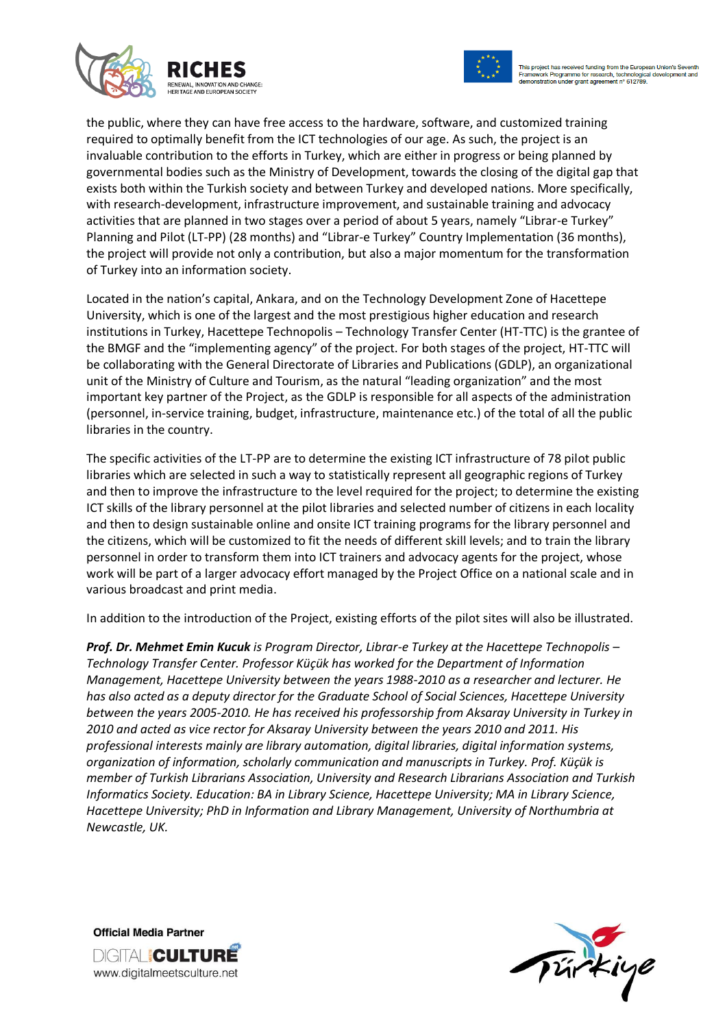



the public, where they can have free access to the hardware, software, and customized training required to optimally benefit from the ICT technologies of our age. As such, the project is an invaluable contribution to the efforts in Turkey, which are either in progress or being planned by governmental bodies such as the Ministry of Development, towards the closing of the digital gap that exists both within the Turkish society and between Turkey and developed nations. More specifically, with research-development, infrastructure improvement, and sustainable training and advocacy activities that are planned in two stages over a period of about 5 years, namely "Librar-e Turkey" Planning and Pilot (LT-PP) (28 months) and "Librar-e Turkey" Country Implementation (36 months), the project will provide not only a contribution, but also a major momentum for the transformation of Turkey into an information society.

Located in the nation's capital, Ankara, and on the Technology Development Zone of Hacettepe University, which is one of the largest and the most prestigious higher education and research institutions in Turkey, Hacettepe Technopolis – Technology Transfer Center (HT-TTC) is the grantee of the BMGF and the "implementing agency" of the project. For both stages of the project, HT-TTC will be collaborating with the General Directorate of Libraries and Publications (GDLP), an organizational unit of the Ministry of Culture and Tourism, as the natural "leading organization" and the most important key partner of the Project, as the GDLP is responsible for all aspects of the administration (personnel, in-service training, budget, infrastructure, maintenance etc.) of the total of all the public libraries in the country.

The specific activities of the LT-PP are to determine the existing ICT infrastructure of 78 pilot public libraries which are selected in such a way to statistically represent all geographic regions of Turkey and then to improve the infrastructure to the level required for the project; to determine the existing ICT skills of the library personnel at the pilot libraries and selected number of citizens in each locality and then to design sustainable online and onsite ICT training programs for the library personnel and the citizens, which will be customized to fit the needs of different skill levels; and to train the library personnel in order to transform them into ICT trainers and advocacy agents for the project, whose work will be part of a larger advocacy effort managed by the Project Office on a national scale and in various broadcast and print media.

In addition to the introduction of the Project, existing efforts of the pilot sites will also be illustrated.

*Prof. Dr. Mehmet Emin Kucuk is Program Director, Librar-e Turkey at the Hacettepe Technopolis – Technology Transfer Center. Professor Küçük has worked for the Department of Information Management, Hacettepe University between the years 1988-2010 as a researcher and lecturer. He has also acted as a deputy director for the Graduate School of Social Sciences, Hacettepe University between the years 2005-2010. He has received his professorship from Aksaray University in Turkey in 2010 and acted as vice rector for Aksaray University between the years 2010 and 2011. His professional interests mainly are library automation, digital libraries, digital information systems, organization of information, scholarly communication and manuscripts in Turkey. Prof. Küçük is member of Turkish Librarians Association, University and Research Librarians Association and Turkish Informatics Society. Education: BA in Library Science, Hacettepe University; MA in Library Science, Hacettepe University; PhD in Information and Library Management, University of Northumbria at Newcastle, UK.*